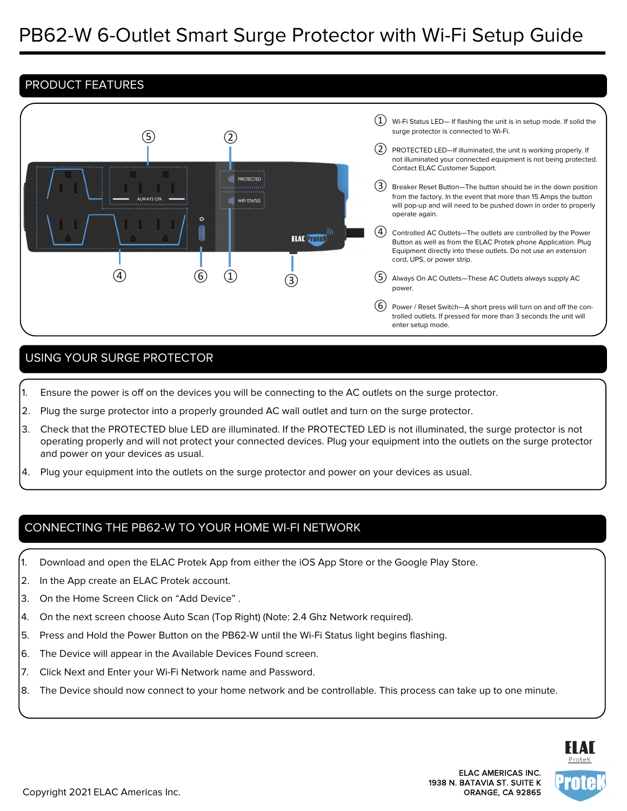# PRODUCT FEATURES



# USING YOUR SURGE PROTECTOR

- 1. Ensure the power is off on the devices you will be connecting to the AC outlets on the surge protector.
- 2. Plug the surge protector into a properly grounded AC wall outlet and turn on the surge protector.
- 3. Check that the PROTECTED blue LED are illuminated. If the PROTECTED LED is not illuminated, the surge protector is not operating properly and will not protect your connected devices. Plug your equipment into the outlets on the surge protector and power on your devices as usual.
- 4. Plug your equipment into the outlets on the surge protector and power on your devices as usual.

### CONNECTING THE PB62-W TO YOUR HOME WI-FI NETWORK

- 1. Download and open the ELAC Protek App from either the iOS App Store or the Google Play Store.
- 2. In the App create an ELAC Protek account.
- 3. On the Home Screen Click on "Add Device" .
- 4. On the next screen choose Auto Scan (Top Right) (Note: 2.4 Ghz Network required).
- 5. Press and Hold the Power Button on the PB62-W until the Wi-Fi Status light begins flashing.
- 6. The Device will appear in the Available Devices Found screen.
- 7. Click Next and Enter your Wi-Fi Network name and Password.
- 8. The Device should now connect to your home network and be controllable. This process can take up to one minute.